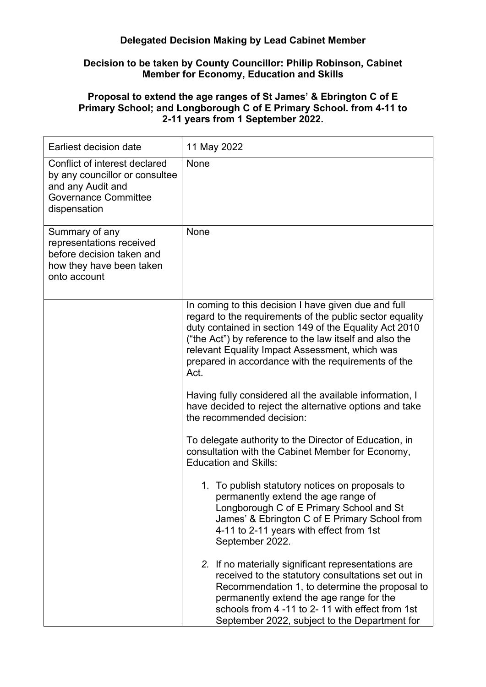## **Delegated Decision Making by Lead Cabinet Member**

## **Decision to be taken by County Councillor: Philip Robinson, Cabinet Member for Economy, Education and Skills**

## **Proposal to extend the age ranges of St James' & Ebrington C of E Primary School; and Longborough C of E Primary School. from 4-11 to 2-11 years from 1 September 2022.**

| Earliest decision date                                                                                                              | 11 May 2022                                                                                                                                                                                                                                                                                                                                            |
|-------------------------------------------------------------------------------------------------------------------------------------|--------------------------------------------------------------------------------------------------------------------------------------------------------------------------------------------------------------------------------------------------------------------------------------------------------------------------------------------------------|
| Conflict of interest declared<br>by any councillor or consultee<br>and any Audit and<br><b>Governance Committee</b><br>dispensation | None                                                                                                                                                                                                                                                                                                                                                   |
| Summary of any<br>representations received<br>before decision taken and<br>how they have been taken<br>onto account                 | None                                                                                                                                                                                                                                                                                                                                                   |
|                                                                                                                                     | In coming to this decision I have given due and full<br>regard to the requirements of the public sector equality<br>duty contained in section 149 of the Equality Act 2010<br>("the Act") by reference to the law itself and also the<br>relevant Equality Impact Assessment, which was<br>prepared in accordance with the requirements of the<br>Act. |
|                                                                                                                                     | Having fully considered all the available information, I<br>have decided to reject the alternative options and take<br>the recommended decision:                                                                                                                                                                                                       |
|                                                                                                                                     | To delegate authority to the Director of Education, in<br>consultation with the Cabinet Member for Economy,<br><b>Education and Skills:</b>                                                                                                                                                                                                            |
|                                                                                                                                     | 1. To publish statutory notices on proposals to<br>permanently extend the age range of<br>Longborough C of E Primary School and St<br>James' & Ebrington C of E Primary School from<br>4-11 to 2-11 years with effect from 1st<br>September 2022.                                                                                                      |
|                                                                                                                                     | 2. If no materially significant representations are<br>received to the statutory consultations set out in<br>Recommendation 1, to determine the proposal to<br>permanently extend the age range for the<br>schools from 4 -11 to 2-11 with effect from 1st<br>September 2022, subject to the Department for                                            |